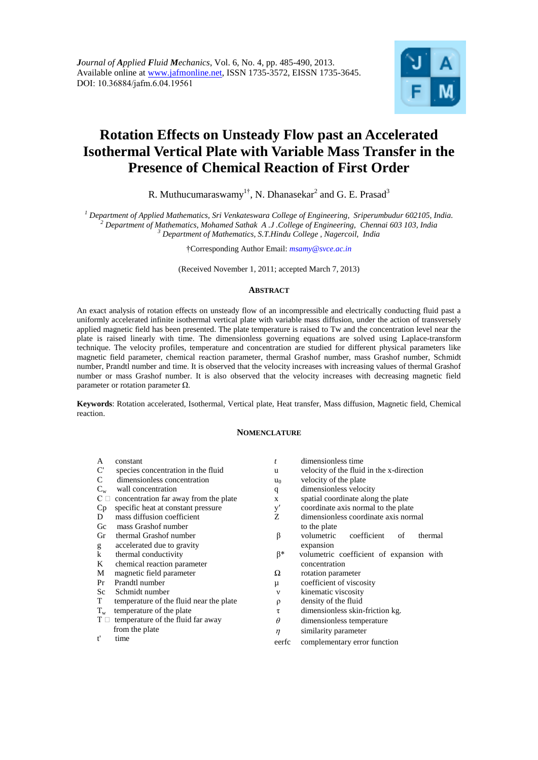# **Rotation Effects on Unsteady Flow past an Accelerated Isothermal Vertical Plate with Variable Mass Transfer in the Presence of Chemical Reaction of First Order**

R. Muthucumaraswamy<sup>1†</sup>, N. Dhanasekar<sup>2</sup> and G. E. Prasad<sup>3</sup>

*<sup>1</sup> Department of Applied Mathematics, Sri Venkateswara College of Engineering, Sriperumbudur 602105, India. <sup>2</sup> Department of Mathematics, Mohamed Sathak A .J .College of Engineering, Chennai 603 103, India <sup>3</sup> Department of Mathematics, S.T.Hindu College , Nagercoil, India*

†Corresponding Author Email: *msamy@svce.ac.in*

(Received November 1, 2011; accepted March 7, 2013)

## **ABSTRACT**

An exact analysis of rotation effects on unsteady flow of an incompressible and electrically conducting fluid past a uniformly accelerated infinite isothermal vertical plate with variable mass diffusion, under the action of transversely applied magnetic field has been presented. The plate temperature is raised to Tw and the concentration level near the plate is raised linearly with time. The dimensionless governing equations are solved using Laplace-transform technique. The velocity profiles, temperature and concentration are studied for different physical parameters like magnetic field parameter, chemical reaction parameter, thermal Grashof number, mass Grashof number, Schmidt number, Prandtl number and time. It is observed that the velocity increases with increasing values of thermal Grashof number or mass Grashof number. It is also observed that the velocity increases with decreasing magnetic field parameter or rotation parameter Ω.

**Keywords**: Rotation accelerated, Isothermal, Vertical plate, Heat transfer, Mass diffusion, Magnetic field, Chemical reaction.

## **NOMENCLATURE**

| A                     | constant                                | $\boldsymbol{t}$ | dimensionless time                         |
|-----------------------|-----------------------------------------|------------------|--------------------------------------------|
| $\mathbf{C}^{\prime}$ | species concentration in the fluid      | u                | velocity of the fluid in the x-direction   |
| C                     | dimensionless concentration             | $u_0$            | velocity of the plate                      |
| $C_{w}$               | wall concentration                      | q                | dimensionless velocity                     |
| $C \square$           | concentration far away from the plate   | X                | spatial coordinate along the plate         |
| Cp                    | specific heat at constant pressure      | y'               | coordinate axis normal to the plate        |
| D                     | mass diffusion coefficient              | Z                | dimensionless coordinate axis normal       |
| Gc                    | mass Grashof number                     |                  | to the plate                               |
| Gr                    | thermal Grashof number                  | β                | volumetric<br>coefficient<br>of<br>thermal |
| g                     | accelerated due to gravity              |                  | expansion                                  |
| k                     | thermal conductivity                    | β*               | volumetric coefficient of expansion with   |
| K                     | chemical reaction parameter             |                  | concentration                              |
| М                     | magnetic field parameter                | Ω                | rotation parameter                         |
| Pr                    | Prandtl number                          | μ                | coefficient of viscosity                   |
| Sc                    | Schmidt number                          | $\mathbf{v}$     | kinematic viscosity                        |
| T                     | temperature of the fluid near the plate | ρ                | density of the fluid                       |
| $T_{\rm w}$           | temperature of the plate                | τ                | dimensionless skin-friction kg.            |
| $\mathrm{T} \ \Box$   | temperature of the fluid far away       | $\theta$         | dimensionless temperature                  |
|                       | from the plate                          | $\sim$           | aimilanity nanomatan                       |

ne plate t' time  $\eta$ similarity parameter eerfc complementary error function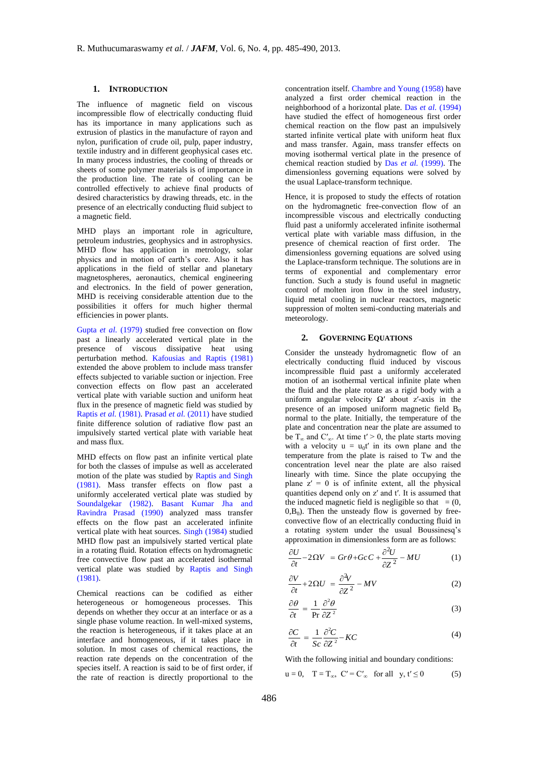#### **1. INTRODUCTION**

The influence of magnetic field on viscous incompressible flow of electrically conducting fluid has its importance in many applications such as extrusion of plastics in the manufacture of rayon and nylon, purification of crude oil, pulp, paper industry, textile industry and in different geophysical cases etc. In many process industries, the cooling of threads or sheets of some polymer materials is of importance in the production line. The rate of cooling can be controlled effectively to achieve final products of desired characteristics by drawing threads, etc. in the presence of an electrically conducting fluid subject to a magnetic field.

MHD plays an important role in agriculture, petroleum industries, geophysics and in astrophysics. MHD flow has application in metrology, solar physics and in motion of earth's core. Also it has applications in the field of stellar and planetary magnetospheres, aeronautics, chemical engineering and electronics. In the field of power generation, MHD is receiving considerable attention due to the possibilities it offers for much higher thermal efficiencies in power plants.

Gupta *et al.* (1979) studied free convection on flow past a linearly accelerated vertical plate in the presence of viscous dissipative heat using perturbation method. Kafousias and Raptis (1981) extended the above problem to include mass transfer effects subjected to variable suction or injection. Free convection effects on flow past an accelerated vertical plate with variable suction and uniform heat flux in the presence of magnetic field was studied by Raptis *et al.* (1981). Prasad *et al.* (2011) have studied finite difference solution of radiative flow past an impulsively started vertical plate with variable heat and mass flux.

MHD effects on flow past an infinite vertical plate for both the classes of impulse as well as accelerated motion of the plate was studied by Raptis and Singh (1981). Mass transfer effects on flow past a uniformly accelerated vertical plate was studied by Soundalgekar (1982). Basant Kumar Jha and Ravindra Prasad (1990) analyzed mass transfer effects on the flow past an accelerated infinite vertical plate with heat sources. Singh (1984) studied MHD flow past an impulsively started vertical plate in a rotating fluid. Rotation effects on hydromagnetic free convective flow past an accelerated isothermal vertical plate was studied by Raptis and Singh (1981).

Chemical reactions can be codified as either heterogeneous or homogeneous processes. This depends on whether they occur at an interface or as a single phase volume reaction. In well-mixed systems, the reaction is heterogeneous, if it takes place at an interface and homogeneous, if it takes place in solution. In most cases of chemical reactions, the reaction rate depends on the concentration of the species itself. A reaction is said to be of first order, if the rate of reaction is directly proportional to the

concentration itself. Chambre and Young (1958) have analyzed a first order chemical reaction in the neighborhood of a horizontal plate. Das *et al.* (1994) have studied the effect of homogeneous first order chemical reaction on the flow past an impulsively started infinite vertical plate with uniform heat flux and mass transfer. Again, mass transfer effects on moving isothermal vertical plate in the presence of chemical reaction studied by Das *et al.* (1999). The dimensionless governing equations were solved by the usual Laplace-transform technique.

Hence, it is proposed to study the effects of rotation on the hydromagnetic free-convection flow of an incompressible viscous and electrically conducting fluid past a uniformly accelerated infinite isothermal vertical plate with variable mass diffusion, in the presence of chemical reaction of first order. The dimensionless governing equations are solved using the Laplace-transform technique. The solutions are in terms of exponential and complementary error function. Such a study is found useful in magnetic control of molten iron flow in the steel industry, liquid metal cooling in nuclear reactors, magnetic suppression of molten semi-conducting materials and meteorology.

#### **2. GOVERNING EQUATIONS**

Consider the unsteady hydromagnetic flow of an electrically conducting fluid induced by viscous incompressible fluid past a uniformly accelerated motion of an isothermal vertical infinite plate when the fluid and the plate rotate as a rigid body with a uniform angular velocity  $\Omega'$  about z'-axis in the presence of an imposed uniform magnetic field  $B_0$ normal to the plate. Initially, the temperature of the plate and concentration near the plate are assumed to be  $T_{\infty}$  and  $C'_{\infty}$ . At time t' > 0, the plate starts moving with a velocity  $u = u_0 t'$  in its own plane and the temperature from the plate is raised to Tw and the concentration level near the plate are also raised linearly with time. Since the plate occupying the plane  $z' = 0$  is of infinite extent, all the physical quantities depend only on z′ and t′. It is assumed that the induced magnetic field is negligible so that  $= (0, 1)$  $0,\text{B}_0$ ). Then the unsteady flow is governed by freeconvective flow of an electrically conducting fluid in a rotating system under the usual Boussinesq's

approximation in dimensionless form are as follows:  
\n
$$
\frac{\partial U}{\partial t} - 2\Omega V = Gr\theta + GcC + \frac{\partial^2 U}{\partial Z^2} - MU
$$
\n(1)

$$
\frac{\partial V}{\partial t} + 2\Omega U = \frac{\partial^2 V}{\partial Z^2} - MV \tag{2}
$$

$$
\frac{\partial \theta}{\partial t} = \frac{1}{\Pr} \frac{\partial^2 \theta}{\partial Z^2}
$$
 (3)

$$
\frac{\partial C}{\partial t} = \frac{1}{Sc} \frac{\partial^2 C}{\partial Z^2} - KC \tag{4}
$$

With the following initial and boundary conditions:

$$
u = 0, \quad T = T_{\infty}, \quad C' = C'_{\infty} \quad \text{for all} \quad y, t' \le 0 \tag{5}
$$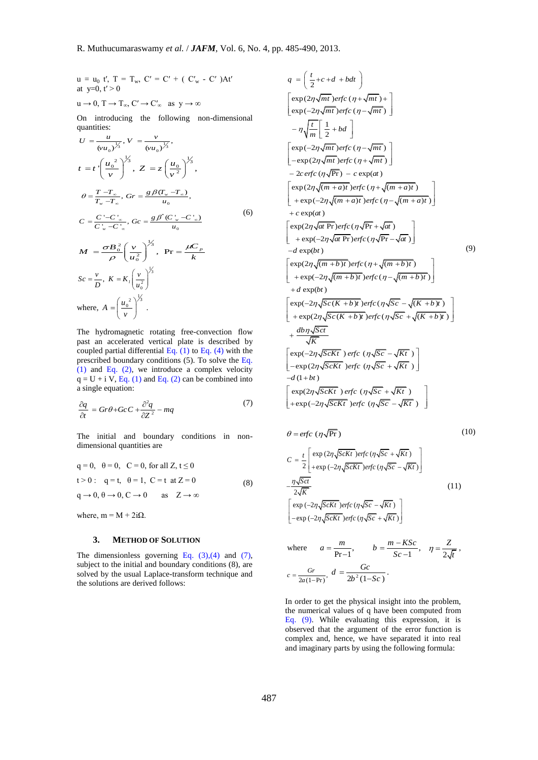$$
u = u_0 \ t', \ T = T_w, \ C' = C' + (C'_w - C')At'
$$
  
at y=0, t' > 0  

$$
u \to 0, \ T \to T_{\infty}, \ C' \to C'_{\infty} \text{ as } y \to \infty
$$

On introducing the following non-dimensional quantities:

$$
U = \frac{u}{(vu_0)^{\frac{1}{3}}}, V = \frac{v}{(vu_0)^{\frac{1}{3}}},
$$
  
\n
$$
t = t \left(\frac{u_0^2}{v}\right)^{\frac{1}{3}}, Z = z \left(\frac{u_0}{v^2}\right)^{\frac{1}{3}},
$$
  
\n
$$
\theta = \frac{T - T_x}{T_w - T_x}, Gr = \frac{g \beta (T_w - T_x)}{u_0},
$$
  
\n
$$
C = \frac{C' - C'_x}{C'_x - C'_x}, Gc = \frac{g \beta^*(C'_w - C'_x)}{u_0}
$$
  
\n
$$
M = \frac{\sigma B_0^2}{\rho} \left(\frac{v}{u_0^2}\right)^{\frac{1}{3}}, \text{ Pr} = \frac{\mu C_p}{k}
$$
  
\n
$$
Sc = \frac{v}{D}, K = K_t \left(\frac{v}{u_0^2}\right)^{\frac{1}{3}}
$$
  
\nwhere,  $A = \left(\frac{u_0^2}{v}\right)^{\frac{1}{3}}$ .

The hydromagnetic rotating free-convection flow past an accelerated vertical plate is described by coupled partial differential Eq.  $(1)$  to Eq.  $(4)$  with the prescribed boundary conditions (5). To solve the Eq. (1) and Eq. (2), we introduce a complex velocity  $q = U + i V$ , Eq. (1) and Eq. (2) can be combined into a single equation:

$$
\frac{\partial q}{\partial t} = Gr\theta + GcC + \frac{\partial^2 q}{\partial Z^2} - mq \tag{7}
$$

The initial and boundary conditions in nondimensional quantities are

$$
q = 0, \quad \theta = 0, \quad C = 0, \text{ for all } Z, t \le 0
$$
  

$$
t > 0: \quad q = t, \quad \theta = 1, \quad C = t \text{ at } Z = 0
$$
  

$$
q \to 0, \quad \theta \to 0, \quad C \to 0 \quad \text{as} \quad Z \to \infty
$$
  

$$
(8)
$$

where,  $m = M + 2i\Omega$ .

# **3. METHOD OF SOLUTION**

The dimensionless governing Eq.  $(3)$ , $(4)$  and  $(7)$ , subject to the initial and boundary conditions (8), are solved by the usual Laplace-transform technique and the solutions are derived follows:

$$
q = \left(\frac{t}{2} + c + d + bdt\right)
$$
\n
$$
\left[\exp(2\eta\sqrt{mt})\text{erfc}(\eta + \sqrt{mt}) + \right]
$$
\n
$$
= \eta \sqrt{\frac{t}{m}} \left[\frac{1}{2} + bd\right]
$$
\n
$$
\left[\exp(-2\eta\sqrt{mt})\text{erfc}(\eta - \sqrt{mt})\right]
$$
\n
$$
= \eta \sqrt{\frac{t}{m}} \left[\frac{1}{2} + bd\right]
$$
\n
$$
\left[\exp(-2\eta\sqrt{mt})\text{erfc}(\eta + \sqrt{mt})\right]
$$
\n
$$
= 2c \text{erfc}(\eta\sqrt{\text{Pr}}) - c \exp(at)
$$
\n
$$
\left[\exp(2\eta\sqrt{(m + a)t})\text{erfc}(\eta + \sqrt{(m + a)t})\right]
$$
\n
$$
+ \exp(-2\eta\sqrt{(m + a)t})\text{erfc}(\eta - \sqrt{(m + a)t})\right]
$$
\n
$$
+ \exp(-2\eta\sqrt{(m + a)t})\text{erfc}(\eta\sqrt{\text{Pr}} - \sqrt{at})
$$
\n
$$
\left[\exp(2\eta\sqrt{at})\text{Pr}\right)\text{erfc}(\eta\sqrt{\text{Pr}} - \sqrt{at})
$$
\n
$$
-d \exp(bt)
$$
\n
$$
\left[\exp(-2\eta\sqrt{(m + b)t})\text{erfc}(\eta + \sqrt{(m + b)t})\right]
$$
\n
$$
+ d \exp(-2\eta\sqrt{(m + b)t})\text{erfc}(\eta\sqrt{Sc} - \sqrt{(K + b)t})\right]
$$
\n
$$
+ d \exp(bt)
$$
\n
$$
\left[\exp(-2\eta\sqrt{Sc(K + b)t})\text{erfc}(\eta\sqrt{Sc} - \sqrt{(K + b)t})\right]
$$
\n
$$
+ \exp(2\eta\sqrt{ScKt})\text{erfc}(\eta\sqrt{Sc} - \sqrt{Kt})
$$
\n
$$
-\exp(2\eta\sqrt{ScKt})\text{erfc}(\eta\sqrt{Sc} - \sqrt{Kt})
$$
\n
$$
-d(1 + bt)
$$
\n
$$
\left[\exp(-2\eta\sqrt{ScKt})\text{erfc}(\eta\sqrt{Sc} - \sqrt{Kt})\right]
$$
\n
$$
d = \
$$

$$
\theta = \text{erfc}(\eta \sqrt{\text{Pr}})
$$
\n
$$
C = \frac{t}{2} \left[ \exp(2\eta \sqrt{\text{Sc}kt}) \text{erfc}(\eta \sqrt{\text{Sc}} + \sqrt{Kt}) \right]
$$
\n
$$
-\frac{\eta \sqrt{\text{Sc}t}}{2\sqrt{K}} - \frac{\eta \sqrt{\text{Sc}t}}{2\sqrt{K}} \exp(-2\eta \sqrt{\text{Sc}Kt}) \text{erfc}(\eta \sqrt{\text{Sc}} - \sqrt{Kt}) \right]
$$
\n
$$
\left[ \exp(-2\eta \sqrt{\text{Sc}Kt}) \text{erfc}(\eta \sqrt{\text{Sc}} - \sqrt{Kt}) \right]
$$
\n
$$
-\exp(-2\eta \sqrt{\text{Sc}Kt}) \text{erfc}(\eta \sqrt{\text{Sc}} + \sqrt{Kt}) \right]
$$
\n(11)

where 
$$
a = \frac{m}{Pr-1}
$$
,  $b = \frac{m - KSc}{Sc - 1}$ ,  $\eta = \frac{Z}{2\sqrt{t}}$ ,  
 $c = \frac{Gr}{2a(1-Pr)}$ ,  $d = \frac{Gc}{2b^2(1-Sc)}$ .

In order to get the physical insight into the problem, the numerical values of q have been computed from Eq. (9). While evaluating this expression, it is observed that the argument of the error function is complex and, hence, we have separated it into real and imaginary parts by using the following formula: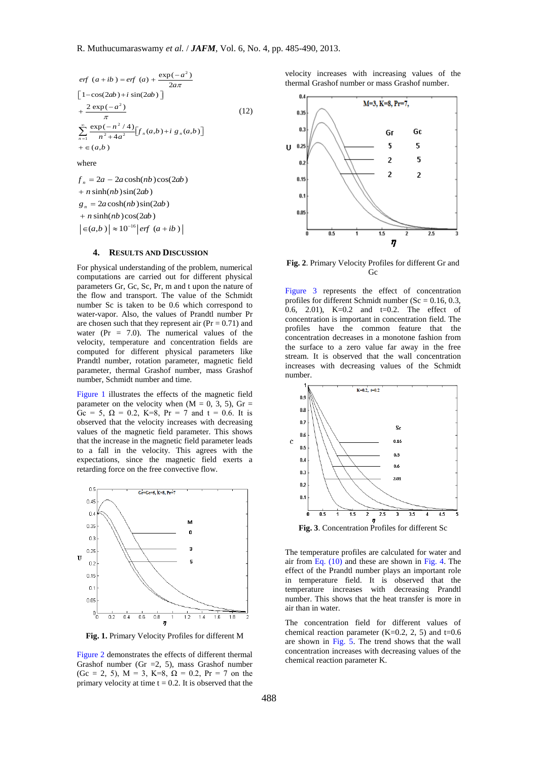$$
ef (a+ib) = ef (a) + \frac{\exp(-a^2)}{2a\pi}
$$
  
\n
$$
\left[1-\cos(2ab)+i\sin(2ab)\right]
$$
  
\n
$$
+\frac{2\exp(-a^2)}{\pi}
$$
  
\n
$$
\sum_{n=1}^{\infty} \frac{\exp(-n^2/4)}{n^2+4a^2} [f_n(a,b)+i g_n(a,b)]
$$
  
\n
$$
+ \in (a,b)
$$
  
\nwhere  
\n
$$
f_n = 2a - 2a\cosh(nb)\cos(2ab)
$$

 $\in (a,b) \approx 10^{-16}$  erf  $(a+ib)$  $n + n \sinh(nb) \sin(2ab)$  $g_n = 2a \cosh(nb) \sin(2ab)$  $+n \sinh(nb) \cos(2ab)$ 

# **4. RESULTS AND DISCUSSION**

For physical understanding of the problem, numerical computations are carried out for different physical parameters Gr, Gc, Sc, Pr, m and t upon the nature of the flow and transport. The value of the Schmidt number Sc is taken to be 0.6 which correspond to water-vapor. Also, the values of Prandtl number Pr are chosen such that they represent air  $(Pr = 0.71)$  and water (Pr = 7.0). The numerical values of the velocity, temperature and concentration fields are computed for different physical parameters like Prandtl number, rotation parameter, magnetic field parameter, thermal Grashof number, mass Grashof number, Schmidt number and time.

Figure 1 illustrates the effects of the magnetic field parameter on the velocity when  $(M = 0, 3, 5)$ , Gr = Gc = 5,  $\Omega$  = 0.2, K=8, Pr = 7 and t = 0.6. It is observed that the velocity increases with decreasing values of the magnetic field parameter. This shows that the increase in the magnetic field parameter leads to a fall in the velocity. This agrees with the expectations, since the magnetic field exerts a retarding force on the free convective flow.



**Fig. 1.** Primary Velocity Profiles for different M

Figure 2 demonstrates the effects of different thermal Grashof number (Gr  $=2, 5$ ), mass Grashof number (Gc = 2, 5),  $M = 3$ ,  $K=8$ ,  $\Omega = 0.2$ ,  $Pr = 7$  on the primary velocity at time  $t = 0.2$ . It is observed that the

velocity increases with increasing values of the thermal Grashof number or mass Grashof number.



**Fig. 2**. Primary Velocity Profiles for different Gr and Gc

Figure 3 represents the effect of concentration profiles for different Schmidt number ( $Sc = 0.16, 0.3$ , 0.6, 2.01), K=0.2 and t=0.2. The effect of concentration is important in concentration field. The profiles have the common feature that the concentration decreases in a monotone fashion from the surface to a zero value far away in the free stream. It is observed that the wall concentration increases with decreasing values of the Schmidt number.



**Fig. 3**. Concentration Profiles for different Sc

The temperature profiles are calculated for water and air from Eq.  $(10)$  and these are shown in Fig. 4. The effect of the Prandtl number plays an important role in temperature field. It is observed that the temperature increases with decreasing Prandtl number. This shows that the heat transfer is more in air than in water.

The concentration field for different values of chemical reaction parameter  $(K=0.2, 2, 5)$  and  $t=0.6$ are shown in Fig. 5. The trend shows that the wall concentration increases with decreasing values of the chemical reaction parameter K.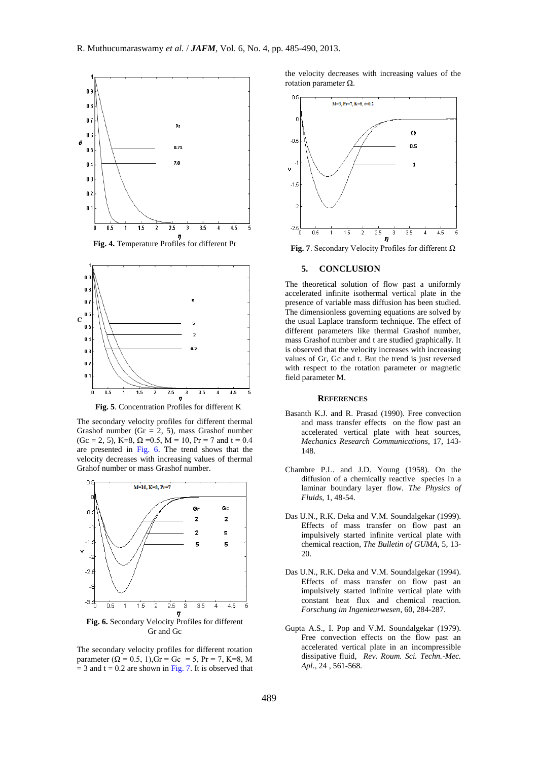

**Fig. 4.** Temperature Profiles for different Pr



**Fig. 5**. Concentration Profiles for different K

The secondary velocity profiles for different thermal Grashof number (Gr = 2, 5), mass Grashof number  $(Gc = 2, 5)$ , K=8,  $\Omega = 0.5$ , M = 10, Pr = 7 and t = 0.4 are presented in Fig. 6. The trend shows that the velocity decreases with increasing values of thermal Grahof number or mass Grashof number.



The secondary velocity profiles for different rotation parameter  $(Q = 0.5, 1)$ ,  $Gr = Gc = 5$ ,  $Pr = 7$ ,  $K=8$ , M  $= 3$  and t = 0.2 are shown in Fig. 7. It is observed that

the velocity decreases with increasing values of the rotation parameter Ω.



**Fig. 7**. Secondary Velocity Profiles for different  $\Omega$ 

#### **5. CONCLUSION**

The theoretical solution of flow past a uniformly accelerated infinite isothermal vertical plate in the presence of variable mass diffusion has been studied. The dimensionless governing equations are solved by the usual Laplace transform technique. The effect of different parameters like thermal Grashof number, mass Grashof number and t are studied graphically. It is observed that the velocity increases with increasing values of Gr, Gc and t. But the trend is just reversed with respect to the rotation parameter or magnetic field parameter M.

#### **REFERENCES**

- Basanth K.J. and R. Prasad (1990). Free convection and mass transfer effects on the flow past an accelerated vertical plate with heat sources, *Mechanics Research Communications*, 17, 143- 148.
- Chambre P.L. and J.D. Young (1958). On the diffusion of a chemically reactive species in a laminar boundary layer flow. *The Physics of Fluids*, 1, 48-54.
- Das U.N., R.K. Deka and V.M. Soundalgekar (1999). Effects of mass transfer on flow past an impulsively started infinite vertical plate with chemical reaction*, The Bulletin of GUMA*, 5, 13- 20.
- Das U.N., R.K. Deka and V.M. Soundalgekar (1994). Effects of mass transfer on flow past an impulsively started infinite vertical plate with constant heat flux and chemical reaction*. Forschung im Ingenieurwesen*, 60, 284-287.
- Gupta A.S., I. Pop and V.M. Soundalgekar (1979). Free convection effects on the flow past an accelerated vertical plate in an incompressible dissipative fluid, *Rev. Roum. Sci. Techn.-Mec. Apl*., 24 , 561-568.